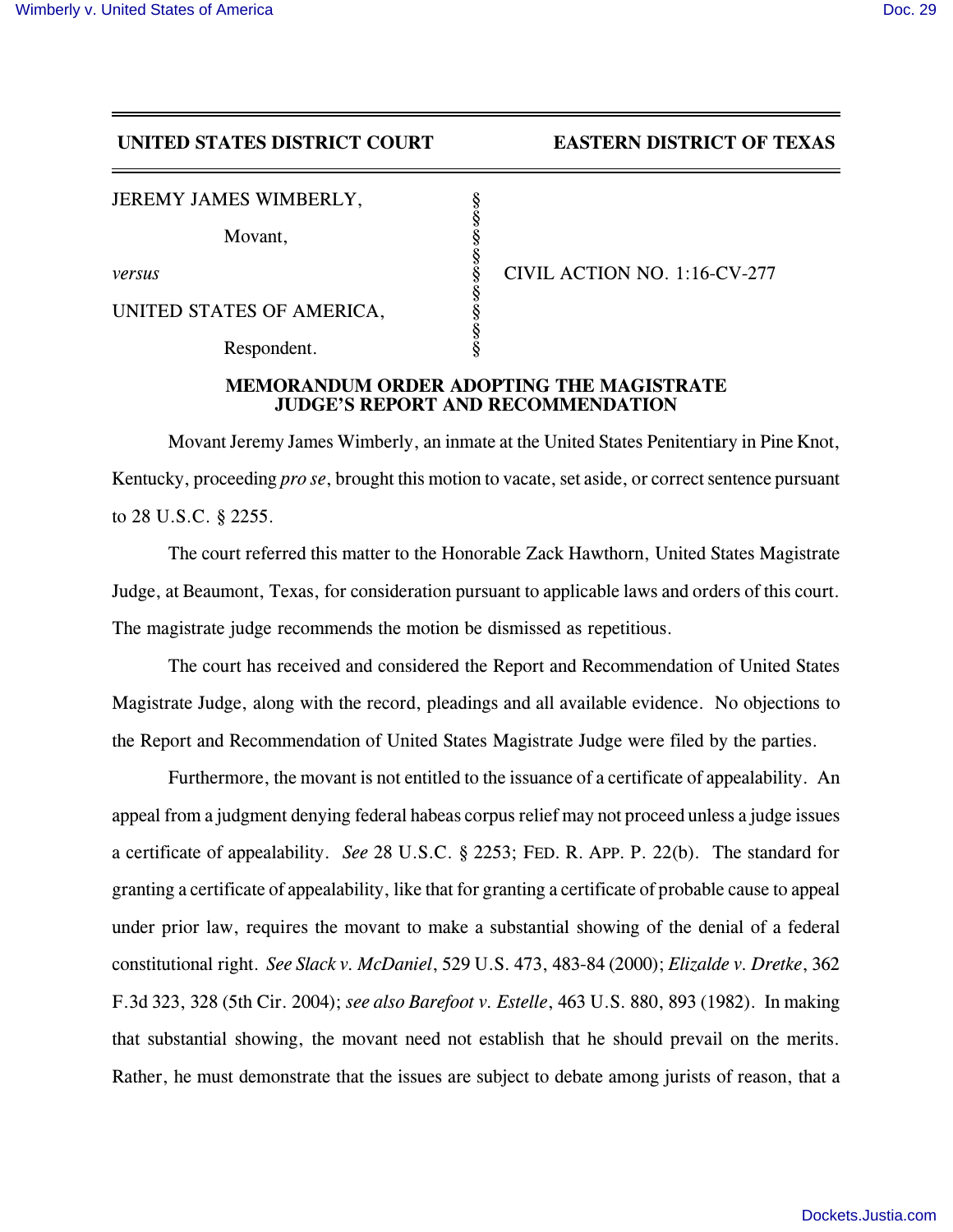## **UNITED STATES DISTRICT COURT EASTERN DISTRICT OF TEXAS**

JEREMY JAMES WIMBERLY,

Movant.

UNITED STATES OF AMERICA,

Respondent.

*versus* § CIVIL ACTION NO. 1:16-CV-277

## **MEMORANDUM ORDER ADOPTING THE MAGISTRATE JUDGE'S REPORT AND RECOMMENDATION**

§

§

§

§

Movant Jeremy James Wimberly, an inmate at the United States Penitentiary in Pine Knot, Kentucky, proceeding *pro se*, brought this motion to vacate, set aside, or correct sentence pursuant to 28 U.S.C. § 2255.

The court referred this matter to the Honorable Zack Hawthorn, United States Magistrate Judge, at Beaumont, Texas, for consideration pursuant to applicable laws and orders of this court. The magistrate judge recommends the motion be dismissed as repetitious.

The court has received and considered the Report and Recommendation of United States Magistrate Judge, along with the record, pleadings and all available evidence. No objections to the Report and Recommendation of United States Magistrate Judge were filed by the parties.

Furthermore, the movant is not entitled to the issuance of a certificate of appealability. An appeal from a judgment denying federal habeas corpus relief may not proceed unless a judge issues a certificate of appealability. *See* 28 U.S.C. § 2253; FED. R. APP. P. 22(b). The standard for granting a certificate of appealability, like that for granting a certificate of probable cause to appeal under prior law, requires the movant to make a substantial showing of the denial of a federal constitutional right. *See Slack v. McDaniel*, 529 U.S. 473, 483-84 (2000); *Elizalde v. Dretke*, 362 F.3d 323, 328 (5th Cir. 2004); *see also Barefoot v. Estelle*, 463 U.S. 880, 893 (1982). In making that substantial showing, the movant need not establish that he should prevail on the merits. Rather, he must demonstrate that the issues are subject to debate among jurists of reason, that a